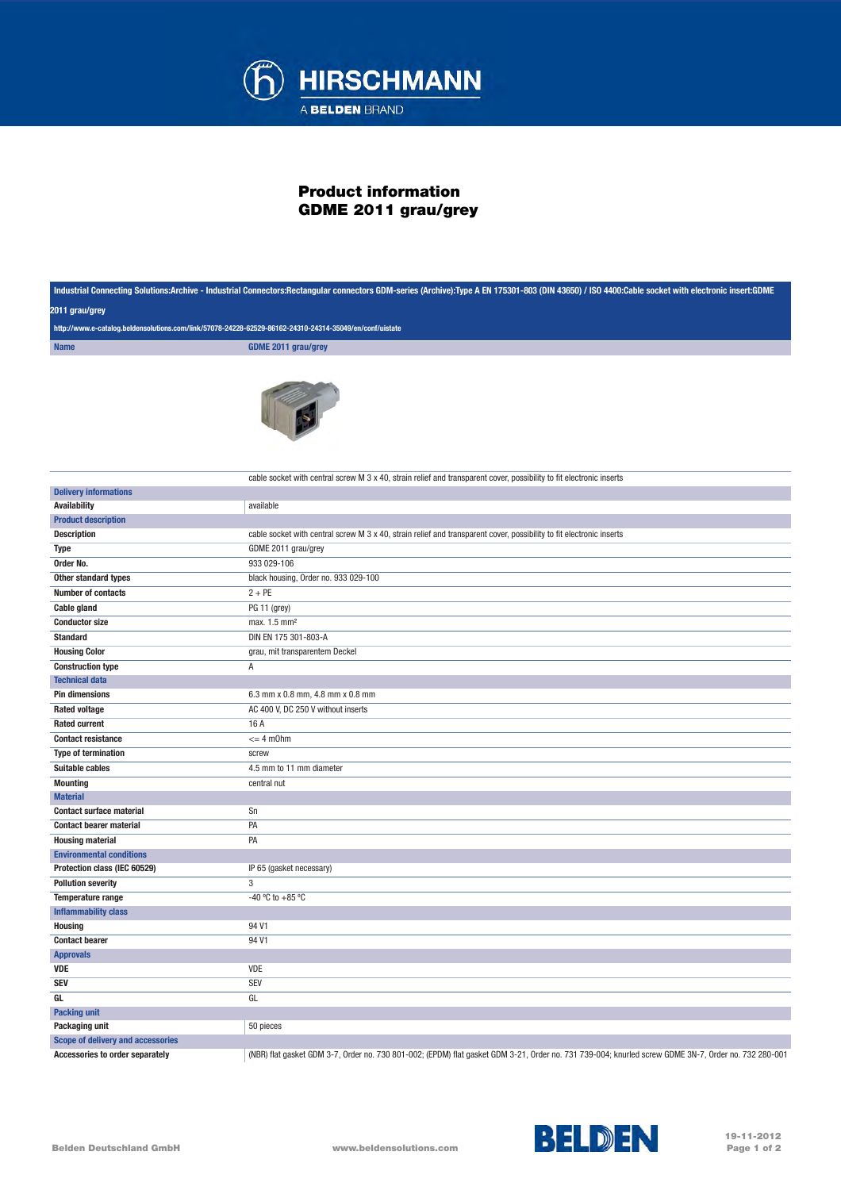

## Product information GDME 2011 grau/grey

|                                                                                                                           | Industrial Connecting Solutions:Archive - Industrial Connectors:Rectangular connectors GDM-series (Archive):Type A EN 175301-803 (DIN 43650) / ISO 4400:Cable socket with electronic insert:GDME |
|---------------------------------------------------------------------------------------------------------------------------|--------------------------------------------------------------------------------------------------------------------------------------------------------------------------------------------------|
| 2011 grau/grey<br>http://www.e-catalog.beldensolutions.com/link/57078-24228-62529-86162-24310-24314-35049/en/conf/uistate |                                                                                                                                                                                                  |
|                                                                                                                           |                                                                                                                                                                                                  |
|                                                                                                                           |                                                                                                                                                                                                  |
|                                                                                                                           | cable socket with central screw M 3 x 40, strain relief and transparent cover, possibility to fit electronic inserts                                                                             |
| <b>Delivery informations</b>                                                                                              |                                                                                                                                                                                                  |
| <b>Availability</b>                                                                                                       | available                                                                                                                                                                                        |
| <b>Product description</b>                                                                                                |                                                                                                                                                                                                  |
| <b>Description</b>                                                                                                        | cable socket with central screw M 3 x 40, strain relief and transparent cover, possibility to fit electronic inserts                                                                             |
| Type                                                                                                                      | GDME 2011 grau/grey                                                                                                                                                                              |
| Order No.                                                                                                                 | 933 029-106                                                                                                                                                                                      |
| Other standard types                                                                                                      | black housing, Order no. 933 029-100                                                                                                                                                             |
| <b>Number of contacts</b>                                                                                                 | $2 + PE$                                                                                                                                                                                         |
| <b>Cable gland</b>                                                                                                        | PG 11 (grey)                                                                                                                                                                                     |
| <b>Conductor size</b>                                                                                                     | max. 1.5 mm <sup>2</sup>                                                                                                                                                                         |
| <b>Standard</b>                                                                                                           | DIN EN 175 301-803-A                                                                                                                                                                             |
| <b>Housing Color</b>                                                                                                      | grau, mit transparentem Deckel                                                                                                                                                                   |
| <b>Construction type</b>                                                                                                  | Α                                                                                                                                                                                                |
| <b>Technical data</b>                                                                                                     |                                                                                                                                                                                                  |
| <b>Pin dimensions</b>                                                                                                     | 6.3 mm x 0.8 mm, 4.8 mm x 0.8 mm                                                                                                                                                                 |
| <b>Rated voltage</b>                                                                                                      | AC 400 V, DC 250 V without inserts                                                                                                                                                               |
| <b>Rated current</b>                                                                                                      | 16 A                                                                                                                                                                                             |
| <b>Contact resistance</b>                                                                                                 | $= 4$ m0hm                                                                                                                                                                                       |
| <b>Type of termination</b>                                                                                                | screw                                                                                                                                                                                            |
| Suitable cables                                                                                                           | 4.5 mm to 11 mm diameter                                                                                                                                                                         |
| <b>Mounting</b>                                                                                                           | central nut                                                                                                                                                                                      |
| <b>Material</b>                                                                                                           |                                                                                                                                                                                                  |
| <b>Contact surface material</b>                                                                                           | Sn                                                                                                                                                                                               |
| <b>Contact bearer material</b>                                                                                            | PA                                                                                                                                                                                               |
| <b>Housing material</b>                                                                                                   | PA                                                                                                                                                                                               |
| <b>Environmental conditions</b>                                                                                           |                                                                                                                                                                                                  |
| Protection class (IEC 60529)                                                                                              | IP 65 (gasket necessary)                                                                                                                                                                         |
| <b>Pollution severity</b>                                                                                                 | 3                                                                                                                                                                                                |
| Temperature range                                                                                                         | -40 °C to +85 °C                                                                                                                                                                                 |
| <b>Inflammability class</b>                                                                                               |                                                                                                                                                                                                  |
| <b>Housing</b>                                                                                                            | 94 V1                                                                                                                                                                                            |
| <b>Contact bearer</b>                                                                                                     | 94 V1                                                                                                                                                                                            |
| <b>Approvals</b>                                                                                                          |                                                                                                                                                                                                  |
| <b>VDE</b>                                                                                                                | VDE                                                                                                                                                                                              |
| <b>SEV</b>                                                                                                                | <b>SEV</b>                                                                                                                                                                                       |
| GL                                                                                                                        | GL                                                                                                                                                                                               |
| <b>Packing unit</b>                                                                                                       |                                                                                                                                                                                                  |
| Packaging unit                                                                                                            | 50 pieces                                                                                                                                                                                        |
| Scope of delivery and accessories                                                                                         |                                                                                                                                                                                                  |
| Accessories to order separately                                                                                           | (NBR) flat gasket GDM 3-7, Order no. 730 801-002; (EPDM) flat gasket GDM 3-21, Order no. 731 739-004; knurled screw GDME 3N-7, Order no. 732 280-001                                             |